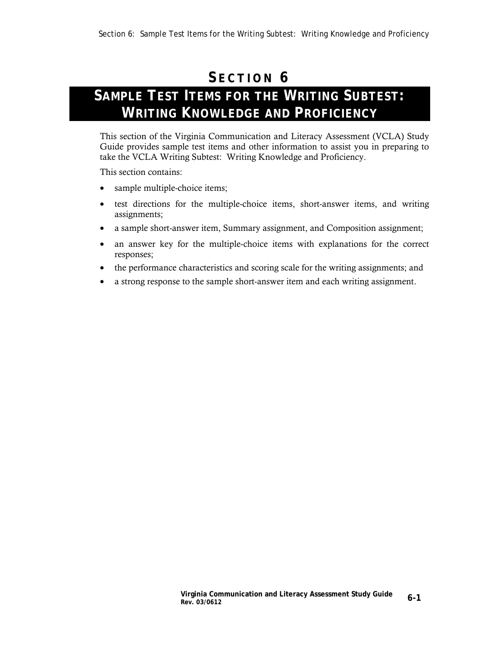## **S ECTION 6**

## **SAMPLE TEST ITEMS FOR THE WRITING SUBTEST: WRITING KNOWLEDGE AND PROFICIENCY**

This section of the Virginia Communication and Literacy Assessment (VCLA) Study Guide provides sample test items and other information to assist you in preparing to take the VCLA Writing Subtest: Writing Knowledge and Proficiency.

This section contains:

- sample multiple-choice items;
- test directions for the multiple-choice items, short-answer items, and writing assignments;
- a sample short-answer item, Summary assignment, and Composition assignment;
- an answer key for the multiple-choice items with explanations for the correct responses;
- the performance characteristics and scoring scale for the writing assignments; and
- a strong response to the sample short-answer item and each writing assignment.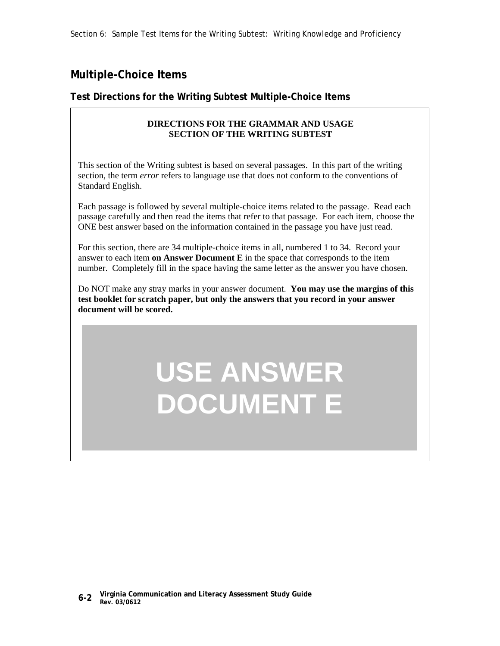Section 6: Sample Test Items for the Writing Subtest: Writing Knowledge and Proficiency

## **Multiple-Choice Items**

## **Test Directions for the Writing Subtest Multiple-Choice Items**

## **DIRECTIONS FOR THE GRAMMAR AND USAGE SECTION OF THE WRITING SUBTEST**

This section of the Writing subtest is based on several passages. In this part of the writing section, the term *error* refers to language use that does not conform to the conventions of Standard English.

Each passage is followed by several multiple-choice items related to the passage. Read each passage carefully and then read the items that refer to that passage. For each item, choose the ONE best answer based on the information contained in the passage you have just read.

For this section, there are 34 multiple-choice items in all, numbered 1 to 34. Record your answer to each item **on Answer Document E** in the space that corresponds to the item number. Completely fill in the space having the same letter as the answer you have chosen.

Do NOT make any stray marks in your answer document. **You may use the margins of this test booklet for scratch paper, but only the answers that you record in your answer document will be scored.**

## **USE ANSWER DOCUMENT E**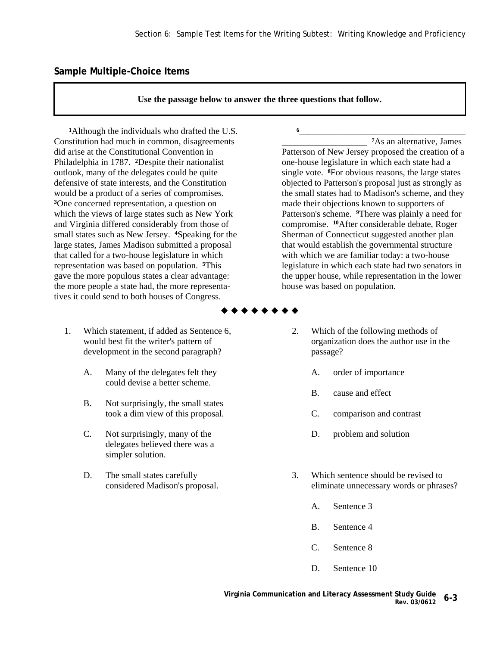## **Sample Multiple-Choice Items**

**Use the passage below to answer the three questions that follow.** 

**<sup>1</sup>**Although the individuals who drafted the U.S. Constitution had much in common, disagreements did arise at the Constitutional Convention in Philadelphia in 1787. **2**Despite their nationalist outlook, many of the delegates could be quite defensive of state interests, and the Constitution would be a product of a series of compromises. **<sup>3</sup>**One concerned representation, a question on which the views of large states such as New York and Virginia differed considerably from those of small states such as New Jersey. **4**Speaking for the large states, James Madison submitted a proposal that called for a two-house legislature in which representation was based on population. **5**This gave the more populous states a clear advantage: the more people a state had, the more representatives it could send to both houses of Congress.

- 1. Which statement, if added as Sentence 6, would best fit the writer's pattern of development in the second paragraph?
	- A. Many of the delegates felt they could devise a better scheme.
	- B. Not surprisingly, the small states took a dim view of this proposal.
	- C. Not surprisingly, many of the delegates believed there was a simpler solution.
	- D. The small states carefully considered Madison's proposal.

**<sup>6</sup>**\_\_\_\_\_\_\_\_\_\_\_\_\_\_\_\_\_\_\_\_\_\_\_\_\_\_\_\_\_\_\_\_\_\_\_\_\_ \_\_\_\_\_\_\_\_\_\_\_\_\_\_\_\_\_\_\_ **7**As an alternative, James Patterson of New Jersey proposed the creation of a one-house legislature in which each state had a single vote. **8**For obvious reasons, the large states objected to Patterson's proposal just as strongly as the small states had to Madison's scheme, and they made their objections known to supporters of Patterson's scheme. **9**There was plainly a need for compromise. **10**After considerable debate, Roger Sherman of Connecticut suggested another plan that would establish the governmental structure with which we are familiar today: a two-house legislature in which each state had two senators in the upper house, while representation in the lower house was based on population.

- \* \* \* \* \* \* \* \*
	- 2. Which of the following methods of organization does the author use in the passage?
		- A. order of importance
		- B. cause and effect
		- C. comparison and contrast
		- D. problem and solution
	- 3. Which sentence should be revised to eliminate unnecessary words or phrases?
		- A. Sentence 3
		- B. Sentence 4
		- C. Sentence 8
		- D. Sentence 10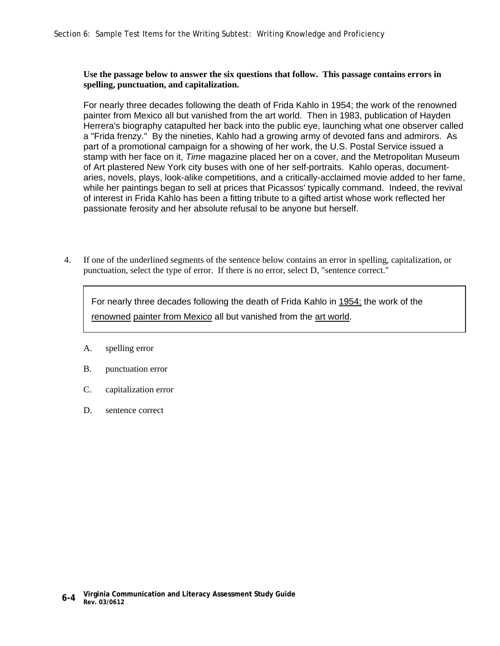### **Use the passage below to answer the six questions that follow. This passage contains errors in spelling, punctuation, and capitalization.**

For nearly three decades following the death of Frida Kahlo in 1954; the work of the renowned painter from Mexico all but vanished from the art world. Then in 1983, publication of Hayden Herrera's biography catapulted her back into the public eye, launching what one observer called a "Frida frenzy." By the nineties, Kahlo had a growing army of devoted fans and admirors. As part of a promotional campaign for a showing of her work, the U.S. Postal Service issued a stamp with her face on it, *Time* magazine placed her on a cover, and the Metropolitan Museum of Art plastered New York city buses with one of her self-portraits. Kahlo operas, documentaries, novels, plays, look-alike competitions, and a critically-acclaimed movie added to her fame, while her paintings began to sell at prices that Picassos' typically command. Indeed, the revival of interest in Frida Kahlo has been a fitting tribute to a gifted artist whose work reflected her passionate ferosity and her absolute refusal to be anyone but herself.

 4. If one of the underlined segments of the sentence below contains an error in spelling, capitalization, or punctuation, select the type of error. If there is no error, select D, "sentence correct."

For nearly three decades following the death of Frida Kahlo in 1954; the work of the renowned painter from Mexico all but vanished from the art world.

- A. spelling error
- B. punctuation error
- C. capitalization error
- D. sentence correct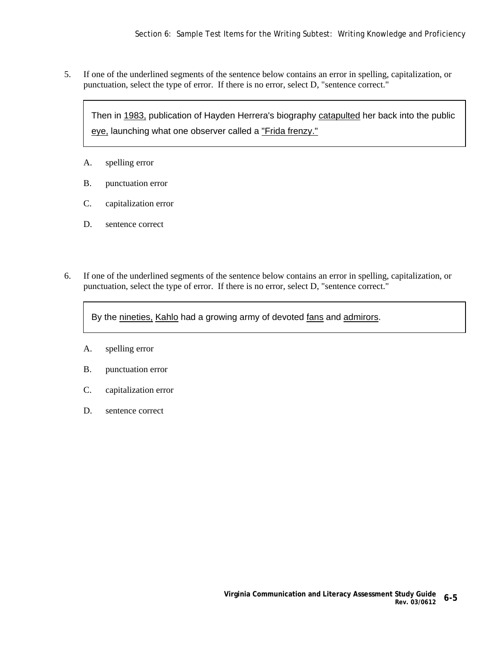5. If one of the underlined segments of the sentence below contains an error in spelling, capitalization, or punctuation, select the type of error. If there is no error, select D, "sentence correct."

Then in 1983, publication of Hayden Herrera's biography catapulted her back into the public eye, launching what one observer called a "Frida frenzy."

- A. spelling error
- B. punctuation error
- C. capitalization error
- D. sentence correct
- 6. If one of the underlined segments of the sentence below contains an error in spelling, capitalization, or punctuation, select the type of error. If there is no error, select D, "sentence correct."

By the nineties, Kahlo had a growing army of devoted fans and admirors.

- A. spelling error
- B. punctuation error
- C. capitalization error
- D. sentence correct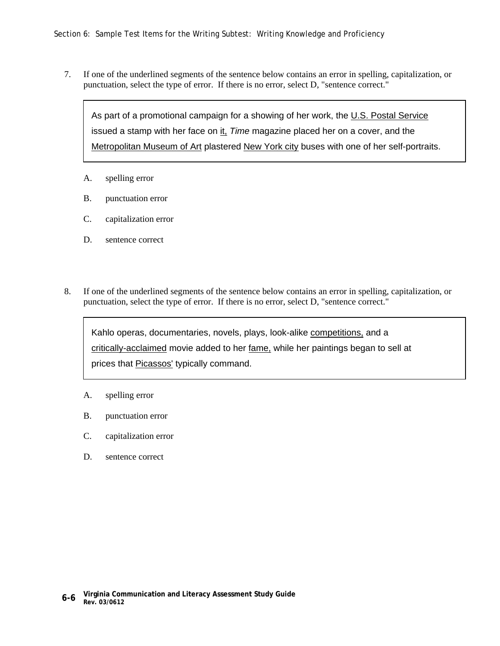7. If one of the underlined segments of the sentence below contains an error in spelling, capitalization, or punctuation, select the type of error. If there is no error, select D, "sentence correct."

As part of a promotional campaign for a showing of her work, the U.S. Postal Service issued a stamp with her face on it, *Time* magazine placed her on a cover, and the Metropolitan Museum of Art plastered New York city buses with one of her self-portraits.

- A. spelling error
- B. punctuation error
- C. capitalization error
- D. sentence correct
- 8. If one of the underlined segments of the sentence below contains an error in spelling, capitalization, or punctuation, select the type of error. If there is no error, select D, "sentence correct."

Kahlo operas, documentaries, novels, plays, look-alike competitions, and a critically-acclaimed movie added to her fame, while her paintings began to sell at prices that Picassos' typically command.

- A. spelling error
- B. punctuation error
- C. capitalization error
- D. sentence correct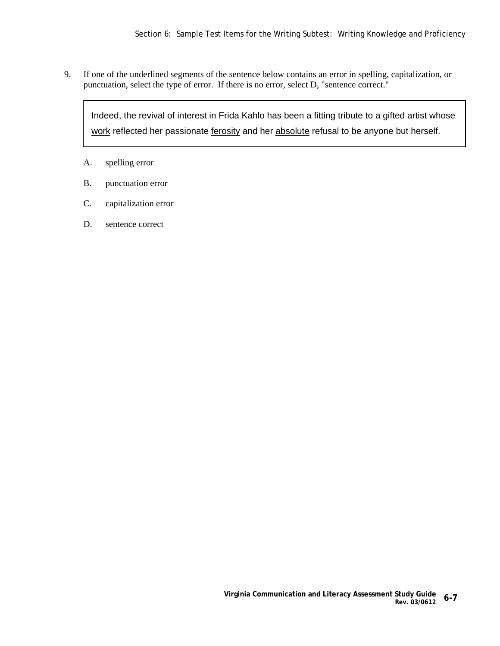9. If one of the underlined segments of the sentence below contains an error in spelling, capitalization, or punctuation, select the type of error. If there is no error, select D, "sentence correct."

Indeed, the revival of interest in Frida Kahlo has been a fitting tribute to a gifted artist whose work reflected her passionate ferosity and her absolute refusal to be anyone but herself.

- A. spelling error
- B. punctuation error
- C. capitalization error
- D. sentence correct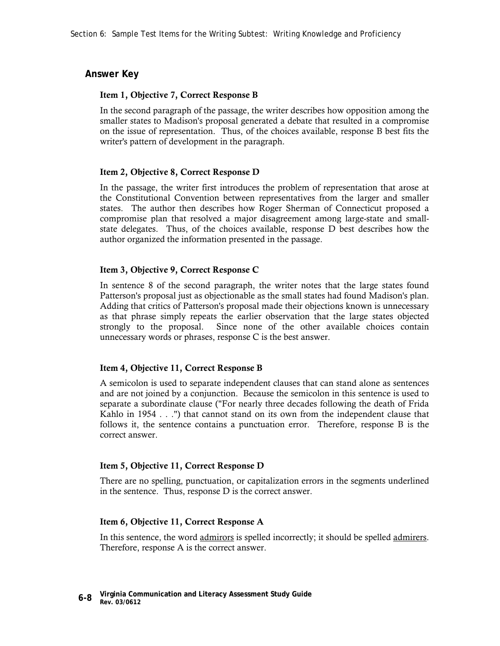## **Answer Key**

#### **Item 1, Objective 7, Correct Response B**

In the second paragraph of the passage, the writer describes how opposition among the smaller states to Madison's proposal generated a debate that resulted in a compromise on the issue of representation. Thus, of the choices available, response B best fits the writer's pattern of development in the paragraph.

#### **Item 2, Objective 8, Correct Response D**

In the passage, the writer first introduces the problem of representation that arose at the Constitutional Convention between representatives from the larger and smaller states. The author then describes how Roger Sherman of Connecticut proposed a compromise plan that resolved a major disagreement among large-state and smallstate delegates. Thus, of the choices available, response D best describes how the author organized the information presented in the passage.

#### **Item 3, Objective 9, Correct Response C**

In sentence 8 of the second paragraph, the writer notes that the large states found Patterson's proposal just as objectionable as the small states had found Madison's plan. Adding that critics of Patterson's proposal made their objections known is unnecessary as that phrase simply repeats the earlier observation that the large states objected strongly to the proposal. Since none of the other available choices contain unnecessary words or phrases, response C is the best answer.

#### **Item 4, Objective 11, Correct Response B**

A semicolon is used to separate independent clauses that can stand alone as sentences and are not joined by a conjunction. Because the semicolon in this sentence is used to separate a subordinate clause ("For nearly three decades following the death of Frida Kahlo in 1954 . . .") that cannot stand on its own from the independent clause that follows it, the sentence contains a punctuation error. Therefore, response B is the correct answer.

#### **Item 5, Objective 11, Correct Response D**

There are no spelling, punctuation, or capitalization errors in the segments underlined in the sentence. Thus, response D is the correct answer.

### **Item 6, Objective 11, Correct Response A**

In this sentence, the word admirors is spelled incorrectly; it should be spelled admirers. Therefore, response A is the correct answer.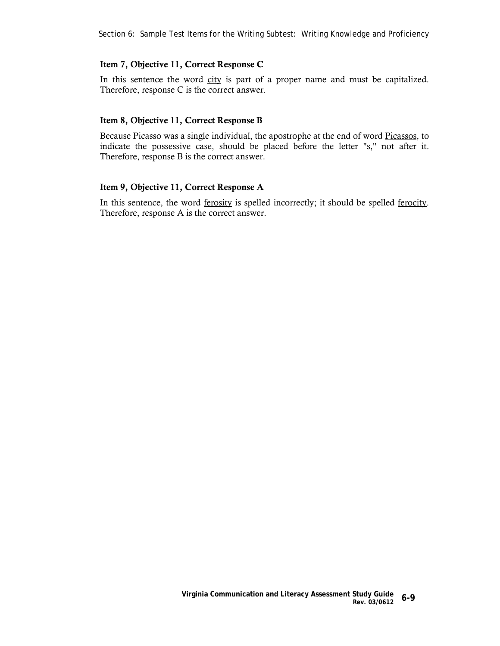### **Item 7, Objective 11, Correct Response C**

In this sentence the word city is part of a proper name and must be capitalized. Therefore, response C is the correct answer.

#### **Item 8, Objective 11, Correct Response B**

Because Picasso was a single individual, the apostrophe at the end of word Picassos, to indicate the possessive case, should be placed before the letter "s," not after it. Therefore, response B is the correct answer.

#### **Item 9, Objective 11, Correct Response A**

In this sentence, the word <u>ferosity</u> is spelled incorrectly; it should be spelled <u>ferocity</u>. Therefore, response A is the correct answer.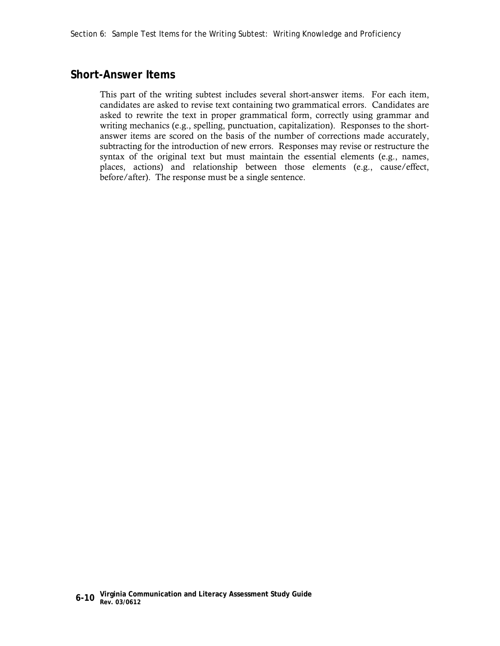## **Short-Answer Items**

This part of the writing subtest includes several short-answer items. For each item, candidates are asked to revise text containing two grammatical errors. Candidates are asked to rewrite the text in proper grammatical form, correctly using grammar and writing mechanics (e.g., spelling, punctuation, capitalization). Responses to the shortanswer items are scored on the basis of the number of corrections made accurately, subtracting for the introduction of new errors. Responses may revise or restructure the syntax of the original text but must maintain the essential elements (e.g., names, places, actions) and relationship between those elements (e.g., cause/effect, before/after). The response must be a single sentence.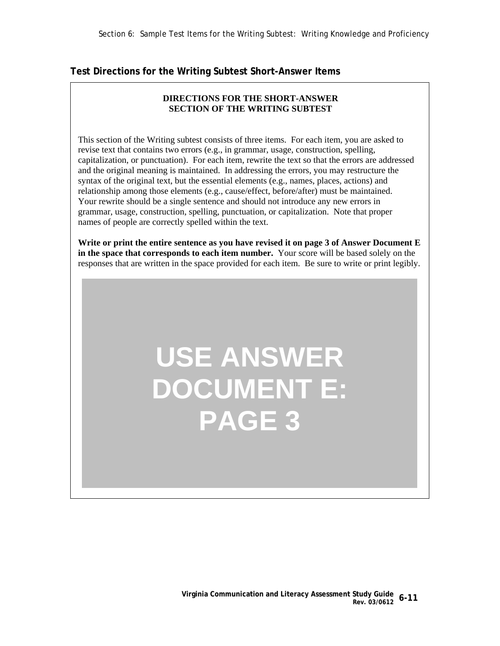## **Test Directions for the Writing Subtest Short-Answer Items**

## **DIRECTIONS FOR THE SHORT-ANSWER SECTION OF THE WRITING SUBTEST**

This section of the Writing subtest consists of three items. For each item, you are asked to revise text that contains two errors (e.g., in grammar, usage, construction, spelling, capitalization, or punctuation). For each item, rewrite the text so that the errors are addressed and the original meaning is maintained. In addressing the errors, you may restructure the syntax of the original text, but the essential elements (e.g., names, places, actions) and relationship among those elements (e.g., cause/effect, before/after) must be maintained. Your rewrite should be a single sentence and should not introduce any new errors in grammar, usage, construction, spelling, punctuation, or capitalization. Note that proper names of people are correctly spelled within the text.

**Write or print the entire sentence as you have revised it on page 3 of Answer Document E in the space that corresponds to each item number.** Your score will be based solely on the responses that are written in the space provided for each item. Be sure to write or print legibly.

## **USE ANSWER DOCUMENT E: PAGE 3**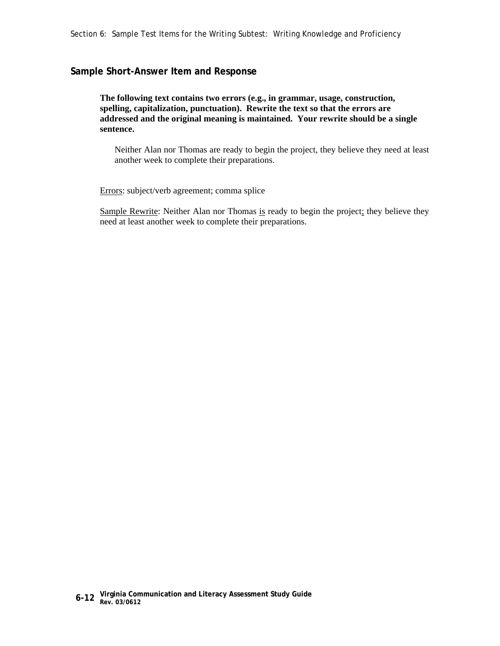### **Sample Short-Answer Item and Response**

 **The following text contains two errors (e.g., in grammar, usage, construction, spelling, capitalization, punctuation). Rewrite the text so that the errors are addressed and the original meaning is maintained. Your rewrite should be a single sentence.**

Neither Alan nor Thomas are ready to begin the project, they believe they need at least another week to complete their preparations.

Errors: subject/verb agreement; comma splice

Sample Rewrite: Neither Alan nor Thomas is ready to begin the project; they believe they need at least another week to complete their preparations.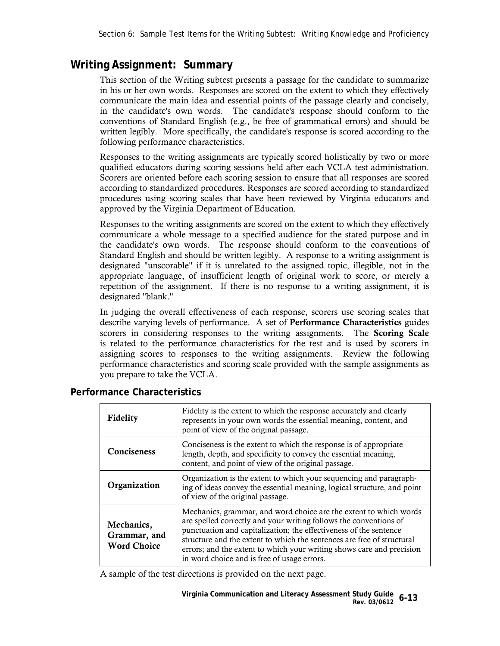## **Writing Assignment: Summary**

This section of the Writing subtest presents a passage for the candidate to summarize in his or her own words. Responses are scored on the extent to which they effectively communicate the main idea and essential points of the passage clearly and concisely, in the candidate's own words. The candidate's response should conform to the conventions of Standard English (e.g., be free of grammatical errors) and should be written legibly. More specifically, the candidate's response is scored according to the following performance characteristics.

Responses to the writing assignments are typically scored holistically by two or more qualified educators during scoring sessions held after each VCLA test administration. Scorers are oriented before each scoring session to ensure that all responses are scored according to standardized procedures. Responses are scored according to standardized procedures using scoring scales that have been reviewed by Virginia educators and approved by the Virginia Department of Education.

Responses to the writing assignments are scored on the extent to which they effectively communicate a whole message to a specified audience for the stated purpose and in the candidate's own words. The response should conform to the conventions of Standard English and should be written legibly. A response to a writing assignment is designated "unscorable" if it is unrelated to the assigned topic, illegible, not in the appropriate language, of insufficient length of original work to score, or merely a repetition of the assignment. If there is no response to a writing assignment, it is designated "blank."

In judging the overall effectiveness of each response, scorers use scoring scales that describe varying levels of performance. A set of **Performance Characteristics** guides scorers in considering responses to the writing assignments. The **Scoring Scale** is related to the performance characteristics for the test and is used by scorers in assigning scores to responses to the writing assignments. Review the following performance characteristics and scoring scale provided with the sample assignments as you prepare to take the VCLA.

| Fidelity                                         | Fidelity is the extent to which the response accurately and clearly<br>represents in your own words the essential meaning, content, and<br>point of view of the original passage.                                                                                                                                                                                                                             |
|--------------------------------------------------|---------------------------------------------------------------------------------------------------------------------------------------------------------------------------------------------------------------------------------------------------------------------------------------------------------------------------------------------------------------------------------------------------------------|
| <b>Conciseness</b>                               | Conciseness is the extent to which the response is of appropriate<br>length, depth, and specificity to convey the essential meaning,<br>content, and point of view of the original passage.                                                                                                                                                                                                                   |
| Organization                                     | Organization is the extent to which your sequencing and paragraph-<br>ing of ideas convey the essential meaning, logical structure, and point<br>of view of the original passage.                                                                                                                                                                                                                             |
| Mechanics,<br>Grammar, and<br><b>Word Choice</b> | Mechanics, grammar, and word choice are the extent to which words<br>are spelled correctly and your writing follows the conventions of<br>punctuation and capitalization; the effectiveness of the sentence<br>structure and the extent to which the sentences are free of structural<br>errors; and the extent to which your writing shows care and precision<br>in word choice and is free of usage errors. |

## **Performance Characteristics**

A sample of the test directions is provided on the next page.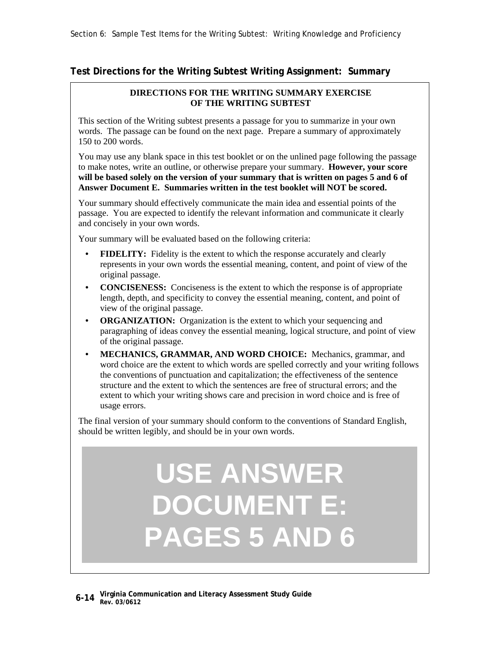## **Test Directions for the Writing Subtest Writing Assignment: Summary**

### **DIRECTIONS FOR THE WRITING SUMMARY EXERCISE OF THE WRITING SUBTEST**

This section of the Writing subtest presents a passage for you to summarize in your own words. The passage can be found on the next page. Prepare a summary of approximately 150 to 200 words.

You may use any blank space in this test booklet or on the unlined page following the passage to make notes, write an outline, or otherwise prepare your summary. **However, your score will be based solely on the version of your summary that is written on pages 5 and 6 of Answer Document E. Summaries written in the test booklet will NOT be scored.**

Your summary should effectively communicate the main idea and essential points of the passage. You are expected to identify the relevant information and communicate it clearly and concisely in your own words.

Your summary will be evaluated based on the following criteria:

- **FIDELITY:** Fidelity is the extent to which the response accurately and clearly represents in your own words the essential meaning, content, and point of view of the original passage.
- **CONCISENESS:** Conciseness is the extent to which the response is of appropriate length, depth, and specificity to convey the essential meaning, content, and point of view of the original passage.
- **ORGANIZATION:** Organization is the extent to which your sequencing and paragraphing of ideas convey the essential meaning, logical structure, and point of view of the original passage.
- **MECHANICS, GRAMMAR, AND WORD CHOICE:** Mechanics, grammar, and word choice are the extent to which words are spelled correctly and your writing follows the conventions of punctuation and capitalization; the effectiveness of the sentence structure and the extent to which the sentences are free of structural errors; and the extent to which your writing shows care and precision in word choice and is free of usage errors.

The final version of your summary should conform to the conventions of Standard English, should be written legibly, and should be in your own words.

# **USE ANSWER DOCUMENT E: PAGES 5 AND 6**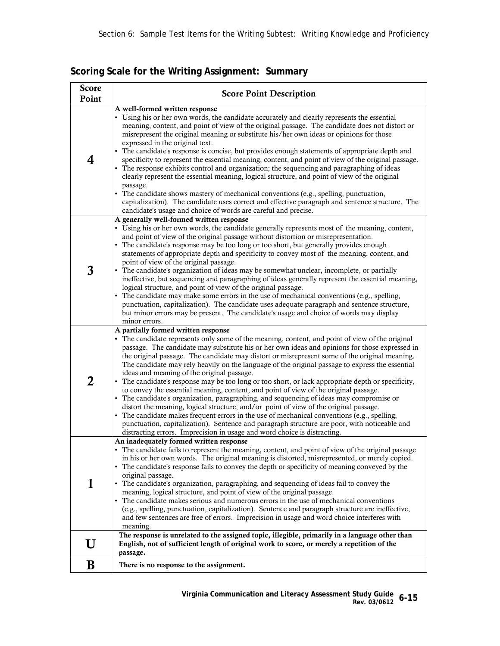| <b>Score</b><br>Point | <b>Score Point Description</b>                                                                                                                                                                                                                                                                                                                                                                                                                                                                                                                                                                                                                                                                                                                                                                                                                                                                                                                                                                                                                                                                                                                        |  |
|-----------------------|-------------------------------------------------------------------------------------------------------------------------------------------------------------------------------------------------------------------------------------------------------------------------------------------------------------------------------------------------------------------------------------------------------------------------------------------------------------------------------------------------------------------------------------------------------------------------------------------------------------------------------------------------------------------------------------------------------------------------------------------------------------------------------------------------------------------------------------------------------------------------------------------------------------------------------------------------------------------------------------------------------------------------------------------------------------------------------------------------------------------------------------------------------|--|
| 4                     | A well-formed written response<br>• Using his or her own words, the candidate accurately and clearly represents the essential<br>meaning, content, and point of view of the original passage. The candidate does not distort or<br>misrepresent the original meaning or substitute his/her own ideas or opinions for those<br>expressed in the original text.<br>The candidate's response is concise, but provides enough statements of appropriate depth and<br>specificity to represent the essential meaning, content, and point of view of the original passage.<br>• The response exhibits control and organization; the sequencing and paragraphing of ideas<br>clearly represent the essential meaning, logical structure, and point of view of the original<br>passage.                                                                                                                                                                                                                                                                                                                                                                       |  |
|                       | The candidate shows mastery of mechanical conventions (e.g., spelling, punctuation,<br>capitalization). The candidate uses correct and effective paragraph and sentence structure. The<br>candidate's usage and choice of words are careful and precise.                                                                                                                                                                                                                                                                                                                                                                                                                                                                                                                                                                                                                                                                                                                                                                                                                                                                                              |  |
| 3                     | A generally well-formed written response<br>• Using his or her own words, the candidate generally represents most of the meaning, content,<br>and point of view of the original passage without distortion or misrepresentation.<br>• The candidate's response may be too long or too short, but generally provides enough<br>statements of appropriate depth and specificity to convey most of the meaning, content, and<br>point of view of the original passage.<br>• The candidate's organization of ideas may be somewhat unclear, incomplete, or partially<br>ineffective, but sequencing and paragraphing of ideas generally represent the essential meaning,<br>logical structure, and point of view of the original passage.<br>• The candidate may make some errors in the use of mechanical conventions (e.g., spelling,<br>punctuation, capitalization). The candidate uses adequate paragraph and sentence structure,<br>but minor errors may be present. The candidate's usage and choice of words may display<br>minor errors.                                                                                                         |  |
| 2                     | A partially formed written response<br>• The candidate represents only some of the meaning, content, and point of view of the original<br>passage. The candidate may substitute his or her own ideas and opinions for those expressed in<br>the original passage. The candidate may distort or misrepresent some of the original meaning.<br>The candidate may rely heavily on the language of the original passage to express the essential<br>ideas and meaning of the original passage.<br>The candidate's response may be too long or too short, or lack appropriate depth or specificity,<br>to convey the essential meaning, content, and point of view of the original passage.<br>• The candidate's organization, paragraphing, and sequencing of ideas may compromise or<br>distort the meaning, logical structure, and/or point of view of the original passage.<br>• The candidate makes frequent errors in the use of mechanical conventions (e.g., spelling,<br>punctuation, capitalization). Sentence and paragraph structure are poor, with noticeable and<br>distracting errors. Imprecision in usage and word choice is distracting. |  |
| 1                     | An inadequately formed written response<br>The candidate fails to represent the meaning, content, and point of view of the original passage<br>in his or her own words. The original meaning is distorted, misrepresented, or merely copied.<br>• The candidate's response fails to convey the depth or specificity of meaning conveyed by the<br>original passage.<br>• The candidate's organization, paragraphing, and sequencing of ideas fail to convey the<br>meaning, logical structure, and point of view of the original passage.<br>• The candidate makes serious and numerous errors in the use of mechanical conventions<br>(e.g., spelling, punctuation, capitalization). Sentence and paragraph structure are ineffective,<br>and few sentences are free of errors. Imprecision in usage and word choice interferes with<br>meaning.                                                                                                                                                                                                                                                                                                     |  |
| U                     | The response is unrelated to the assigned topic, illegible, primarily in a language other than<br>English, not of sufficient length of original work to score, or merely a repetition of the<br>passage.                                                                                                                                                                                                                                                                                                                                                                                                                                                                                                                                                                                                                                                                                                                                                                                                                                                                                                                                              |  |
| B                     | There is no response to the assignment.                                                                                                                                                                                                                                                                                                                                                                                                                                                                                                                                                                                                                                                                                                                                                                                                                                                                                                                                                                                                                                                                                                               |  |

**Scoring Scale for the Writing Assignment: Summary**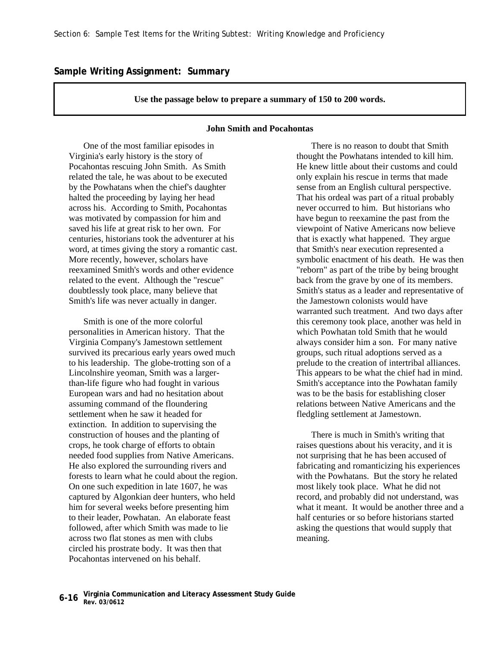#### **Sample Writing Assignment: Summary**

#### **Use the passage below to prepare a summary of 150 to 200 words.**

### **John Smith and Pocahontas**

 One of the most familiar episodes in Virginia's early history is the story of Pocahontas rescuing John Smith. As Smith related the tale, he was about to be executed by the Powhatans when the chief's daughter halted the proceeding by laying her head across his. According to Smith, Pocahontas was motivated by compassion for him and saved his life at great risk to her own. For centuries, historians took the adventurer at his word, at times giving the story a romantic cast. More recently, however, scholars have reexamined Smith's words and other evidence related to the event. Although the "rescue" doubtlessly took place, many believe that Smith's life was never actually in danger.

 Smith is one of the more colorful personalities in American history. That the Virginia Company's Jamestown settlement survived its precarious early years owed much to his leadership. The globe-trotting son of a Lincolnshire yeoman, Smith was a largerthan-life figure who had fought in various European wars and had no hesitation about assuming command of the floundering settlement when he saw it headed for extinction. In addition to supervising the construction of houses and the planting of crops, he took charge of efforts to obtain needed food supplies from Native Americans. He also explored the surrounding rivers and forests to learn what he could about the region. On one such expedition in late 1607, he was captured by Algonkian deer hunters, who held him for several weeks before presenting him to their leader, Powhatan. An elaborate feast followed, after which Smith was made to lie across two flat stones as men with clubs circled his prostrate body. It was then that Pocahontas intervened on his behalf.

 There is no reason to doubt that Smith thought the Powhatans intended to kill him. He knew little about their customs and could only explain his rescue in terms that made sense from an English cultural perspective. That his ordeal was part of a ritual probably never occurred to him. But historians who have begun to reexamine the past from the viewpoint of Native Americans now believe that is exactly what happened. They argue that Smith's near execution represented a symbolic enactment of his death. He was then "reborn" as part of the tribe by being brought back from the grave by one of its members. Smith's status as a leader and representative of the Jamestown colonists would have warranted such treatment. And two days after this ceremony took place, another was held in which Powhatan told Smith that he would always consider him a son. For many native groups, such ritual adoptions served as a prelude to the creation of intertribal alliances. This appears to be what the chief had in mind. Smith's acceptance into the Powhatan family was to be the basis for establishing closer relations between Native Americans and the fledgling settlement at Jamestown.

 There is much in Smith's writing that raises questions about his veracity, and it is not surprising that he has been accused of fabricating and romanticizing his experiences with the Powhatans. But the story he related most likely took place. What he did not record, and probably did not understand, was what it meant. It would be another three and a half centuries or so before historians started asking the questions that would supply that meaning.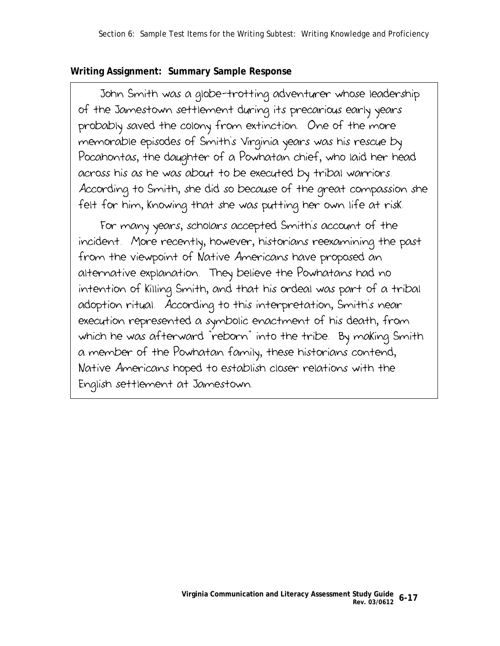## **Writing Assignment: Summary Sample Response**

 John Smith was a globe-trotting adventurer whose leadership of the Jamestown settlement during its precarious early years probably saved the colony from extinction. One of the more memorable episodes of Smith's Virginia years was his rescue by Pocahontas, the daughter of a Powhatan chief, who laid her head across his as he was about to be executed by tribal warriors. According to Smith, she did so because of the great compassion she felt for him, knowing that she was putting her own life at risk.

 For many years, scholars accepted Smith's account of the incident. More recently, however, historians reexamining the past from the viewpoint of Native Americans have proposed an alternative explanation. They believe the Powhatans had no intention of killing Smith, and that his ordeal was part of a tribal adoption ritual. According to this interpretation, Smith's near execution represented a symbolic enactment of his death, from which he was afterward "reborn" into the tribe. By making Smith a member of the Powhatan family, these historians contend, Native Americans hoped to establish closer relations with the English settlement at Jamestown.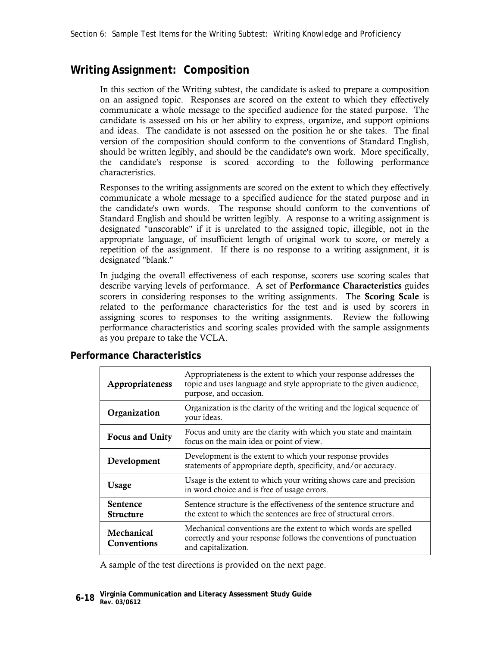## **Writing Assignment: Composition**

In this section of the Writing subtest, the candidate is asked to prepare a composition on an assigned topic. Responses are scored on the extent to which they effectively communicate a whole message to the specified audience for the stated purpose. The candidate is assessed on his or her ability to express, organize, and support opinions and ideas. The candidate is not assessed on the position he or she takes. The final version of the composition should conform to the conventions of Standard English, should be written legibly, and should be the candidate's own work. More specifically, the candidate's response is scored according to the following performance characteristics.

Responses to the writing assignments are scored on the extent to which they effectively communicate a whole message to a specified audience for the stated purpose and in the candidate's own words. The response should conform to the conventions of Standard English and should be written legibly. A response to a writing assignment is designated "unscorable" if it is unrelated to the assigned topic, illegible, not in the appropriate language, of insufficient length of original work to score, or merely a repetition of the assignment. If there is no response to a writing assignment, it is designated "blank."

In judging the overall effectiveness of each response, scorers use scoring scales that describe varying levels of performance. A set of **Performance Characteristics** guides scorers in considering responses to the writing assignments. The **Scoring Scale** is related to the performance characteristics for the test and is used by scorers in assigning scores to responses to the writing assignments. Review the following performance characteristics and scoring scales provided with the sample assignments as you prepare to take the VCLA.

| Appropriateness                     | Appropriateness is the extent to which your response addresses the<br>topic and uses language and style appropriate to the given audience,<br>purpose, and occasion. |
|-------------------------------------|----------------------------------------------------------------------------------------------------------------------------------------------------------------------|
| Organization                        | Organization is the clarity of the writing and the logical sequence of<br>your ideas.                                                                                |
| <b>Focus and Unity</b>              | Focus and unity are the clarity with which you state and maintain<br>focus on the main idea or point of view.                                                        |
| Development                         | Development is the extent to which your response provides<br>statements of appropriate depth, specificity, and/or accuracy.                                          |
| Usage                               | Usage is the extent to which your writing shows care and precision<br>in word choice and is free of usage errors.                                                    |
| <b>Sentence</b><br><b>Structure</b> | Sentence structure is the effectiveness of the sentence structure and<br>the extent to which the sentences are free of structural errors.                            |
| Mechanical<br>Conventions           | Mechanical conventions are the extent to which words are spelled<br>correctly and your response follows the conventions of punctuation<br>and capitalization.        |

## **Performance Characteristics**

A sample of the test directions is provided on the next page.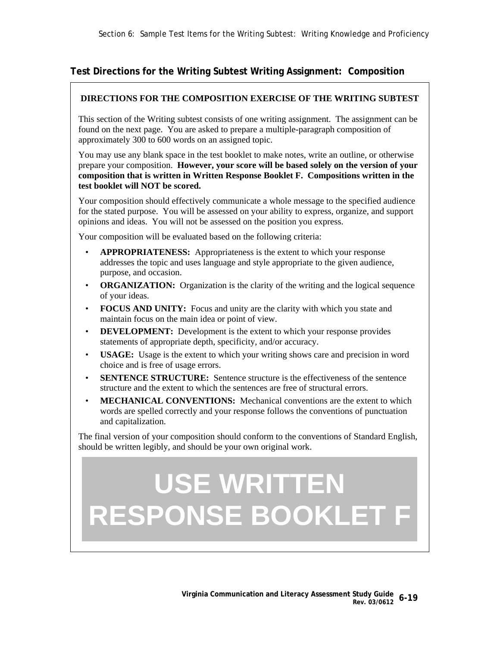## **Test Directions for the Writing Subtest Writing Assignment: Composition**

## **DIRECTIONS FOR THE COMPOSITION EXERCISE OF THE WRITING SUBTEST**

This section of the Writing subtest consists of one writing assignment. The assignment can be found on the next page. You are asked to prepare a multiple-paragraph composition of approximately 300 to 600 words on an assigned topic.

You may use any blank space in the test booklet to make notes, write an outline, or otherwise prepare your composition. **However, your score will be based solely on the version of your composition that is written in Written Response Booklet F. Compositions written in the test booklet will NOT be scored.**

Your composition should effectively communicate a whole message to the specified audience for the stated purpose. You will be assessed on your ability to express, organize, and support opinions and ideas. You will not be assessed on the position you express.

Your composition will be evaluated based on the following criteria:

- **APPROPRIATENESS:** Appropriateness is the extent to which your response addresses the topic and uses language and style appropriate to the given audience, purpose, and occasion.
- **ORGANIZATION:** Organization is the clarity of the writing and the logical sequence of your ideas.
- **FOCUS AND UNITY:** Focus and unity are the clarity with which you state and maintain focus on the main idea or point of view.
- **DEVELOPMENT:** Development is the extent to which your response provides statements of appropriate depth, specificity, and/or accuracy.
- **USAGE:** Usage is the extent to which your writing shows care and precision in word choice and is free of usage errors.
- **SENTENCE STRUCTURE:** Sentence structure is the effectiveness of the sentence structure and the extent to which the sentences are free of structural errors.
- **MECHANICAL CONVENTIONS:** Mechanical conventions are the extent to which words are spelled correctly and your response follows the conventions of punctuation and capitalization.

The final version of your composition should conform to the conventions of Standard English, should be written legibly, and should be your own original work.

# **USE WRITTEN RESPONSE BOOKLET F**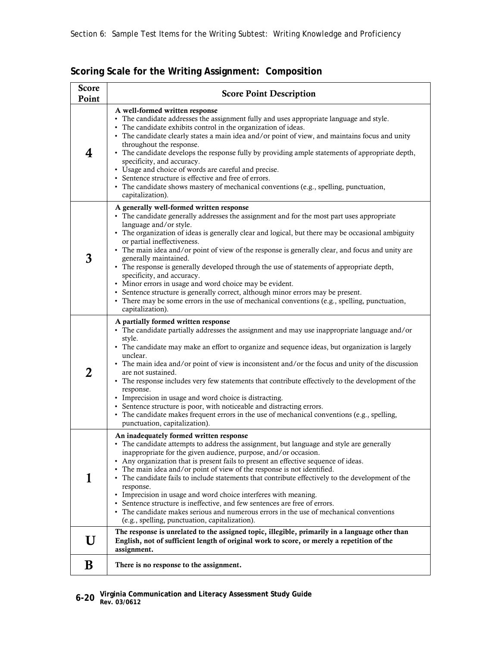| <b>Score</b><br>Point | <b>Score Point Description</b>                                                                                                                                                                                                                                                                                                                                                                                                                                                                                                                                                                                                                                                                                                                                                                                                  |
|-----------------------|---------------------------------------------------------------------------------------------------------------------------------------------------------------------------------------------------------------------------------------------------------------------------------------------------------------------------------------------------------------------------------------------------------------------------------------------------------------------------------------------------------------------------------------------------------------------------------------------------------------------------------------------------------------------------------------------------------------------------------------------------------------------------------------------------------------------------------|
| 4                     | A well-formed written response<br>• The candidate addresses the assignment fully and uses appropriate language and style.<br>• The candidate exhibits control in the organization of ideas.<br>• The candidate clearly states a main idea and/or point of view, and maintains focus and unity<br>throughout the response.<br>• The candidate develops the response fully by providing ample statements of appropriate depth,<br>specificity, and accuracy.<br>• Usage and choice of words are careful and precise.<br>• Sentence structure is effective and free of errors.<br>• The candidate shows mastery of mechanical conventions (e.g., spelling, punctuation,<br>capitalization).                                                                                                                                        |
| 3                     | A generally well-formed written response<br>• The candidate generally addresses the assignment and for the most part uses appropriate<br>language and/or style.<br>• The organization of ideas is generally clear and logical, but there may be occasional ambiguity<br>or partial ineffectiveness.<br>• The main idea and/or point of view of the response is generally clear, and focus and unity are<br>generally maintained.<br>• The response is generally developed through the use of statements of appropriate depth,<br>specificity, and accuracy.<br>• Minor errors in usage and word choice may be evident.<br>• Sentence structure is generally correct, although minor errors may be present.<br>• There may be some errors in the use of mechanical conventions (e.g., spelling, punctuation,<br>capitalization). |
| 2                     | A partially formed written response<br>• The candidate partially addresses the assignment and may use inappropriate language and/or<br>style.<br>• The candidate may make an effort to organize and sequence ideas, but organization is largely<br>unclear.<br>• The main idea and/or point of view is inconsistent and/or the focus and unity of the discussion<br>are not sustained.<br>• The response includes very few statements that contribute effectively to the development of the<br>response.<br>• Imprecision in usage and word choice is distracting.<br>• Sentence structure is poor, with noticeable and distracting errors.<br>• The candidate makes frequent errors in the use of mechanical conventions (e.g., spelling,<br>punctuation, capitalization).                                                     |
| 1                     | An inadequately formed written response<br>The candidate attempts to address the assignment, but language and style are generally<br>inappropriate for the given audience, purpose, and/or occasion.<br>• Any organization that is present fails to present an effective sequence of ideas.<br>• The main idea and/or point of view of the response is not identified.<br>• The candidate fails to include statements that contribute effectively to the development of the<br>response.<br>• Imprecision in usage and word choice interferes with meaning.<br>• Sentence structure is ineffective, and few sentences are free of errors.<br>• The candidate makes serious and numerous errors in the use of mechanical conventions<br>(e.g., spelling, punctuation, capitalization).                                           |
| U                     | The response is unrelated to the assigned topic, illegible, primarily in a language other than<br>English, not of sufficient length of original work to score, or merely a repetition of the<br>assignment.                                                                                                                                                                                                                                                                                                                                                                                                                                                                                                                                                                                                                     |
| B                     | There is no response to the assignment.                                                                                                                                                                                                                                                                                                                                                                                                                                                                                                                                                                                                                                                                                                                                                                                         |

**Scoring Scale for the Writing Assignment: Composition**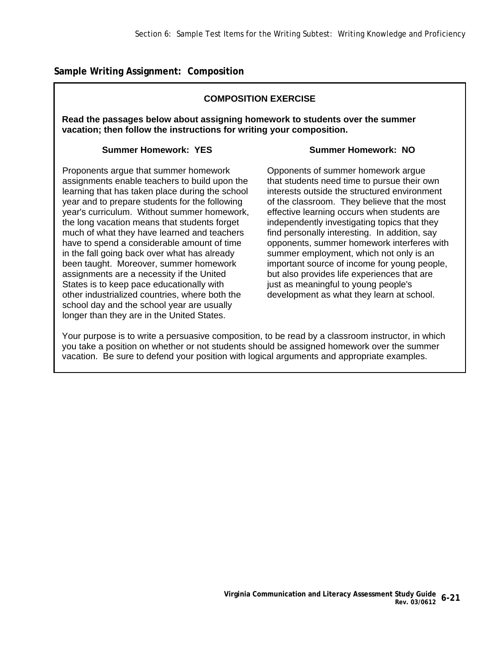**Sample Writing Assignment: Composition** 

## **COMPOSITION EXERCISE**

**Read the passages below about assigning homework to students over the summer vacation; then follow the instructions for writing your composition.** 

## **Summer Homework: YES**

## **Summer Homework: NO**

Proponents argue that summer homework assignments enable teachers to build upon the learning that has taken place during the school year and to prepare students for the following year's curriculum. Without summer homework, the long vacation means that students forget much of what they have learned and teachers have to spend a considerable amount of time in the fall going back over what has already been taught. Moreover, summer homework assignments are a necessity if the United States is to keep pace educationally with other industrialized countries, where both the school day and the school year are usually longer than they are in the United States.

Opponents of summer homework argue that students need time to pursue their own interests outside the structured environment of the classroom. They believe that the most effective learning occurs when students are independently investigating topics that they find personally interesting. In addition, say opponents, summer homework interferes with summer employment, which not only is an important source of income for young people, but also provides life experiences that are just as meaningful to young people's development as what they learn at school.

Your purpose is to write a persuasive composition, to be read by a classroom instructor, in which you take a position on whether or not students should be assigned homework over the summer vacation. Be sure to defend your position with logical arguments and appropriate examples.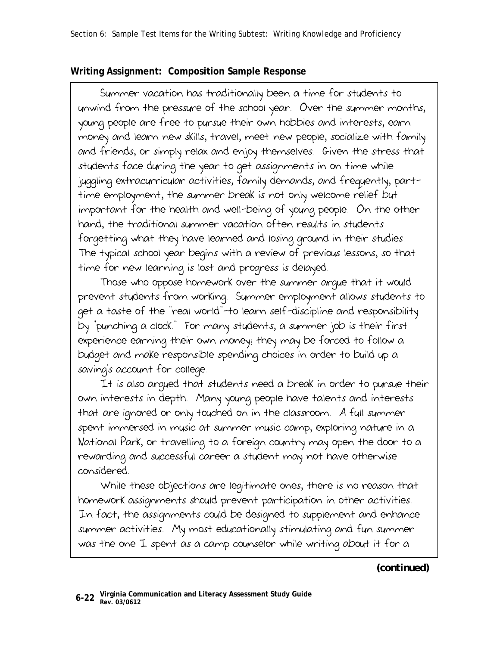## **Writing Assignment: Composition Sample Response**

 Summer vacation has traditionally been a time for students to unwind from the pressure of the school year. Over the summer months, young people are free to pursue their own hobbies and interests, earn money and learn new skills, travel, meet new people, socialize with family and friends, or simply relax and enjoy themselves. Given the stress that students face during the year to get assignments in on time while juggling extracurricular activities, family demands, and frequently, parttime employment, the summer break is not only welcome relief but important for the health and well-being of young people. On the other hand, the traditional summer vacation often results in students forgetting what they have learned and losing ground in their studies. The typical school year begins with a review of previous lessons, so that time for new learning is lost and progress is delayed.

 Those who oppose homework over the summer argue that it would prevent students from working. Summer employment allows students to get a taste of the "real world"—to learn self-discipline and responsibility by "punching a clock." For many students, a summer job is their first experience earning their own money; they may be forced to follow a budget and make responsible spending choices in order to build up a saving's account for college.

 It is also argued that students need a break in order to pursue their own interests in depth. Many young people have talents and interests that are ignored or only touched on in the classroom. A full summer spent immersed in music at summer music camp, exploring nature in a National Park, or travelling to a foreign country may open the door to a rewarding and successful career a student may not have otherwise considered.

 While these objections are legitimate ones, there is no reason that homework assignments should prevent participation in other activities. In fact, the assignments could be designed to supplement and enhance summer activities. My most educationally stimulating and fun summer was the one I spent as a camp counselor while writing about it for a

*(continued)*